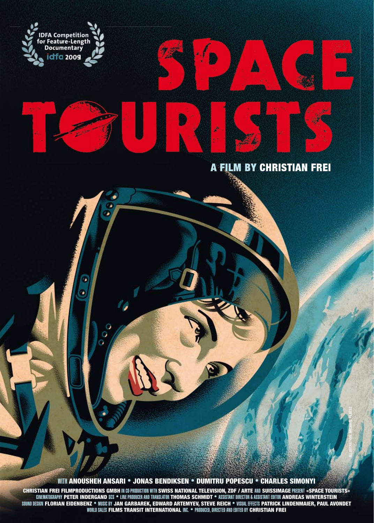

ı,

O

### **A FILM BY CHRISTIAN FREI**

À

**ILLUSTRATION: MICHAEL PLEESZ**

WITH ANOUSHEH ANSARI • JONAS BENDIKSEN • DUMITRU POPESCU • CHARLES SIMONYI

CHRISTIAN FREI FILMPRODUCTIONS GMBH IN CO-PRODUCTION WITH SWISS NATIONAL TELEVISION, ZDF / ARTE AND SUISSIMAGE PRESENT «SPACE TOURISTS»<br>CINEMATOGRAPHY PETER INDERGAND SCS \* LINE PRODUCER AND TRANSLATOR THOMAS SCHMIDT \* ASS SOUND DESIGN FLORIAN EIDENBENZ • MUSIC BY JAN GARBAREK, EDWARD ARTEMYEV, STEVE REICH • VISUAL EFFECTS PATRICK LINDENMAIER, PAUL AVONDET WORLD SALES FILMS TRANSIT INTERNATIONAL INC. • PRODUCED, DIRECTED AND EDITED BY CHRISTIAN FREI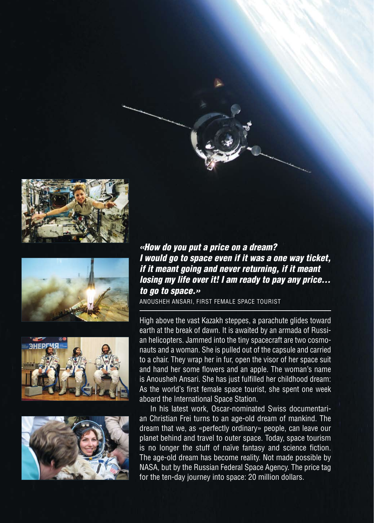







*«How do you put a price on a dream? I would go to space even if it was a one way ticket, if it meant going and never returning, if it meant losing my life over it! I am ready to pay any price… to go to space.»* 

ANOUSHEH ANSARI, FIRST FEMALE SPACE TOURIST

High above the vast Kazakh steppes, a parachute glides toward earth at the break of dawn. It is awaited by an armada of Russian helicopters. Jammed into the tiny spacecraft are two cosmonauts and a woman. She is pulled out of the capsule and carried to a chair. They wrap her in fur, open the visor of her space suit and hand her some flowers and an apple. The woman's name is Anousheh Ansari. She has just fulfilled her childhood dream: As the world's first female space tourist, she spent one week aboard the International Space Station.

In his latest work, Oscar-nominated Swiss documentarian Christian Frei turns to an age-old dream of mankind. The dream that we, as «perfectly ordinary» people, can leave our planet behind and travel to outer space. Today, space tourism is no longer the stuff of naïve fantasy and science fiction. The age-old dream has become reality. Not made possible by NASA, but by the Russian Federal Space Agency. The price tag for the ten-day journey into space: 20 million dollars.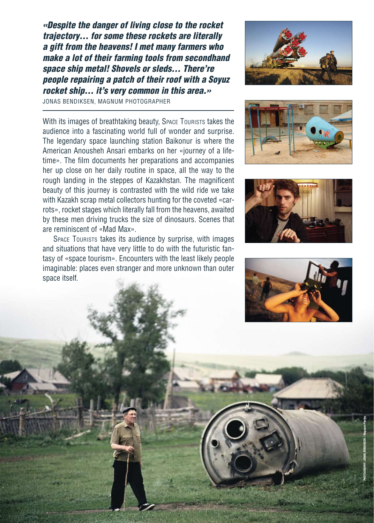*«Despite the danger of living close to the rocket trajectory… for some these rockets are literally a gift from the heavens! I met many farmers who make a lot of their farming tools from secondhand space ship metal! Shovels or sleds… There're people repairing a patch of their roof with a Soyuz rocket ship… it's very common in this area.»*

JONAS BENDIKSEN, MAGNUM PHOTOGRAPHER

With its images of breathtaking beauty. Space Tourists takes the audience into a fascinating world full of wonder and surprise. The legendary space launching station Baikonur is where the American Anousheh Ansari embarks on her «journey of a lifetime». The film documents her preparations and accompanies her up close on her daily routine in space, all the way to the rough landing in the steppes of Kazakhstan. The magnificent beauty of this journey is contrasted with the wild ride we take with Kazakh scrap metal collectors hunting for the coveted «carrots», rocket stages which literally fall from the heavens, awaited by these men driving trucks the size of dinosaurs. Scenes that are reminiscent of «Mad Max».

SPACE TOURISTS takes its audience by surprise, with images and situations that have very little to do with the futuristic fantasy of «space tourism». Encounters with the least likely people imaginable: places even stranger and more unknown than outer space itself.